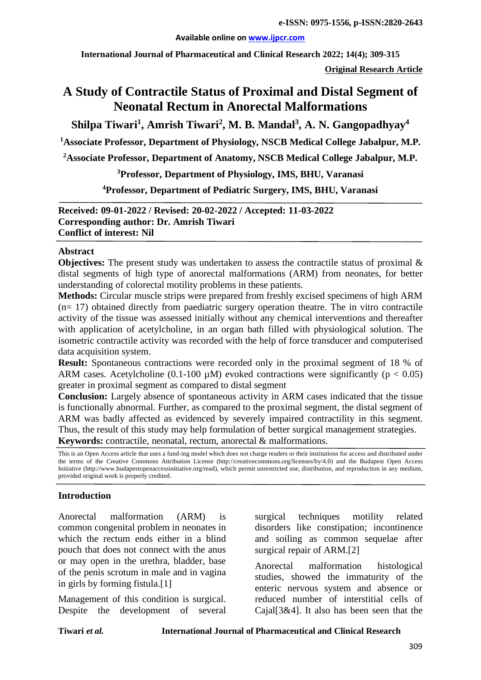#### **Available online on [www.ijpcr.com](http://www.ijpcr.com/)**

**International Journal of Pharmaceutical and Clinical Research 2022; 14(4); 309-315**

**Original Research Article**

# **A Study of Contractile Status of Proximal and Distal Segment of Neonatal Rectum in Anorectal Malformations**

**Shilpa Tiwari1 , Amrish Tiwari2 , M. B. Mandal3 , A. N. Gangopadhyay4**

**1 Associate Professor, Department of Physiology, NSCB Medical College Jabalpur, M.P.**

**2 Associate Professor, Department of Anatomy, NSCB Medical College Jabalpur, M.P.**

**3 Professor, Department of Physiology, IMS, BHU, Varanasi**

**4 Professor, Department of Pediatric Surgery, IMS, BHU, Varanasi**

**Received: 09-01-2022 / Revised: 20-02-2022 / Accepted: 11-03-2022 Corresponding author: Dr. Amrish Tiwari Conflict of interest: Nil**

#### **Abstract**

**Objectives:** The present study was undertaken to assess the contractile status of proximal  $\&$ distal segments of high type of anorectal malformations (ARM) from neonates, for better understanding of colorectal motility problems in these patients.

**Methods:** Circular muscle strips were prepared from freshly excised specimens of high ARM  $(n= 17)$  obtained directly from paediatric surgery operation theatre. The in vitro contractile activity of the tissue was assessed initially without any chemical interventions and thereafter with application of acetylcholine, in an organ bath filled with physiological solution. The isometric contractile activity was recorded with the help of force transducer and computerised data acquisition system.

**Result:** Spontaneous contractions were recorded only in the proximal segment of 18 % of ARM cases. Acetylcholine (0.1-100  $\mu$ M) evoked contractions were significantly (p < 0.05) greater in proximal segment as compared to distal segment

**Conclusion:** Largely absence of spontaneous activity in ARM cases indicated that the tissue is functionally abnormal. Further, as compared to the proximal segment, the distal segment of ARM was badly affected as evidenced by severely impaired contractility in this segment. Thus, the result of this study may help formulation of better surgical management strategies. **Keywords:** contractile, neonatal, rectum, anorectal & malformations.

This is an Open Access article that uses a fund-ing model which does not charge readers or their institutions for access and distributed under the terms of the Creative Commons Attribution License (http://creativecommons.org/licenses/by/4.0) and the Budapest Open Access Initiative (http://www.budapestopenaccessinitiative.org/read), which permit unrestricted use, distribution, and reproduction in any medium, provided original work is properly credited.

### **Introduction**

Anorectal malformation (ARM) is common congenital problem in neonates in which the rectum ends either in a blind pouch that does not connect with the anus or may open in the urethra, bladder, base of the penis scrotum in male and in vagina in girls by forming fistula.[1]

Management of this condition is surgical. Despite the development of several surgical techniques motility related disorders like constipation; incontinence and soiling as common sequelae after surgical repair of ARM.[2]

Anorectal malformation histological studies, showed the immaturity of the enteric nervous system and absence or reduced number of interstitial cells of Cajal[3&4]. It also has been seen that the

**Tiwari** *et al.* **International Journal of Pharmaceutical and Clinical Research**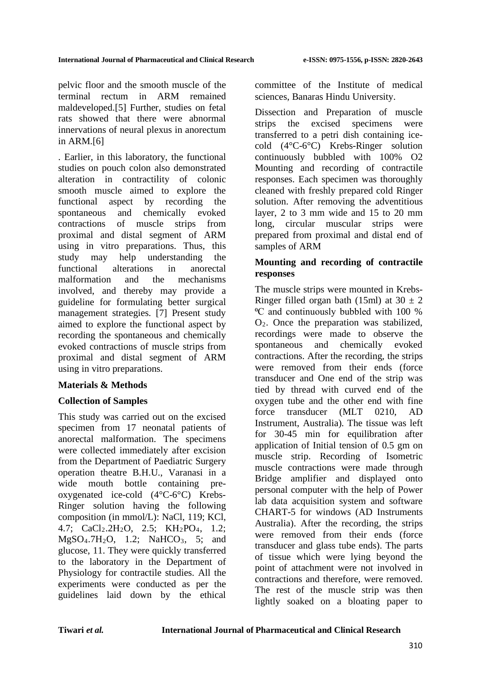pelvic floor and the smooth muscle of the terminal rectum in ARM remained maldeveloped.[5] Further, studies on fetal rats showed that there were abnormal innervations of neural plexus in anorectum in ARM.[6]

. Earlier, in this laboratory, the functional studies on pouch colon also demonstrated alteration in contractility of colonic smooth muscle aimed to explore the functional aspect by recording the spontaneous and chemically evoked contractions of muscle strips from proximal and distal segment of ARM using in vitro preparations. Thus, this study may help understanding the functional alterations in anorectal malformation and the mechanisms involved, and thereby may provide a guideline for formulating better surgical management strategies. [7] Present study aimed to explore the functional aspect by recording the spontaneous and chemically evoked contractions of muscle strips from proximal and distal segment of ARM using in vitro preparations.

# **Materials & Methods**

# **Collection of Samples**

This study was carried out on the excised specimen from 17 neonatal patients of anorectal malformation. The specimens were collected immediately after excision from the Department of Paediatric Surgery operation theatre B.H.U., Varanasi in a wide mouth bottle containing preoxygenated ice-cold (4°C-6°C) Krebs-Ringer solution having the following composition (in mmol/L): NaCl, 119; KCl, 4.7: CaCl<sub>2</sub>.2H<sub>2</sub>O, 2.5: KH<sub>2</sub>PO<sub>4</sub>, 1.2:  $MgSO_4.7H_2O$ , 1.2;  $NaHCO_3$ , 5; and glucose, 11. They were quickly transferred to the laboratory in the Department of Physiology for contractile studies. All the experiments were conducted as per the guidelines laid down by the ethical committee of the Institute of medical sciences, Banaras Hindu University.

Dissection and Preparation of muscle strips the excised specimens were transferred to a petri dish containing icecold (4°C-6°C) Krebs-Ringer solution continuously bubbled with 100% O2 Mounting and recording of contractile responses. Each specimen was thoroughly cleaned with freshly prepared cold Ringer solution. After removing the adventitious layer, 2 to 3 mm wide and 15 to 20 mm long, circular muscular strips were prepared from proximal and distal end of samples of ARM

# **Mounting and recording of contractile responses**

The muscle strips were mounted in Krebs-Ringer filled organ bath (15ml) at  $30 \pm 2$ ⁰C and continuously bubbled with 100 % O2. Once the preparation was stabilized, recordings were made to observe the spontaneous and chemically evoked contractions. After the recording, the strips were removed from their ends (force transducer and One end of the strip was tied by thread with curved end of the oxygen tube and the other end with fine force transducer (MLT 0210, AD Instrument, Australia). The tissue was left for 30-45 min for equilibration after application of Initial tension of 0.5 gm on muscle strip. Recording of Isometric muscle contractions were made through Bridge amplifier and displayed onto personal computer with the help of Power lab data acquisition system and software CHART-5 for windows (AD Instruments Australia). After the recording, the strips were removed from their ends (force transducer and glass tube ends). The parts of tissue which were lying beyond the point of attachment were not involved in contractions and therefore, were removed. The rest of the muscle strip was then lightly soaked on a bloating paper to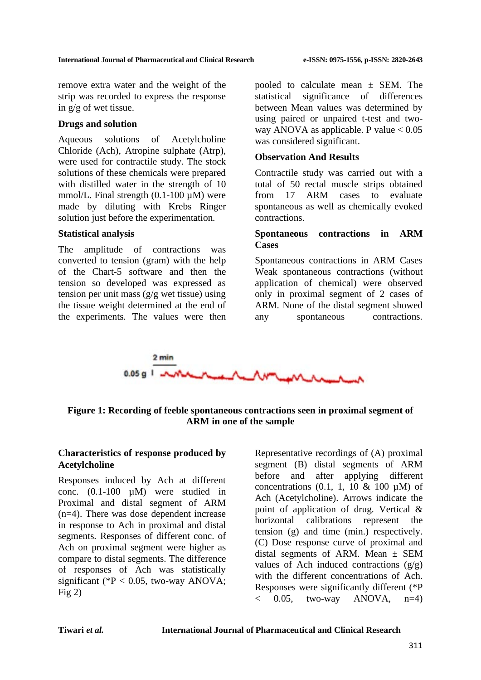remove extra water and the weight of the strip was recorded to express the response in g/g of wet tissue.

### **Drugs and solution**

Aqueous solutions of Acetylcholine Chloride (Ach), Atropine sulphate (Atrp), were used for contractile study. The stock solutions of these chemicals were prepared with distilled water in the strength of 10 mmol/L. Final strength  $(0.1\n-100 \mu M)$  were made by diluting with Krebs Ringer solution just before the experimentation.

### **Statistical analysis**

The amplitude of contractions was converted to tension (gram) with the help of the Chart-5 software and then the tension so developed was expressed as tension per unit mass  $(g/g$  wet tissue) using the tissue weight determined at the end of the experiments. The values were then pooled to calculate mean  $\pm$  SEM. The statistical significance of differences between Mean values was determined by using paired or unpaired t-test and twoway ANOVA as applicable. P value  $< 0.05$ was considered significant.

### **Observation And Results**

Contractile study was carried out with a total of 50 rectal muscle strips obtained from 17 ARM cases to evaluate spontaneous as well as chemically evoked contractions.

## **Spontaneous contractions in ARM Cases**

Spontaneous contractions in ARM Cases Weak spontaneous contractions (without application of chemical) were observed only in proximal segment of 2 cases of ARM. None of the distal segment showed any spontaneous contractions.



# **Figure 1: Recording of feeble spontaneous contractions seen in proximal segment of ARM in one of the sample**

### **Characteristics of response produced by Acetylcholine**

Responses induced by Ach at different conc. (0.1-100 µM) were studied in Proximal and distal segment of ARM (n=4). There was dose dependent increase in response to Ach in proximal and distal segments. Responses of different conc. of Ach on proximal segment were higher as compare to distal segments. The difference of responses of Ach was statistically significant ( $P < 0.05$ , two-way ANOVA;  $Fig 2)$ 

Representative recordings of (A) proximal segment (B) distal segments of ARM before and after applying different concentrations  $(0.1, 1, 10 \& 100 \text{ uM})$  of Ach (Acetylcholine). Arrows indicate the point of application of drug. Vertical & horizontal calibrations represent the tension (g) and time (min.) respectively. (C) Dose response curve of proximal and distal segments of ARM. Mean  $\pm$  SEM values of Ach induced contractions  $(g/g)$ with the different concentrations of Ach. Responses were significantly different (\*P  $\langle 0.05,$  two-way ANOVA, n=4)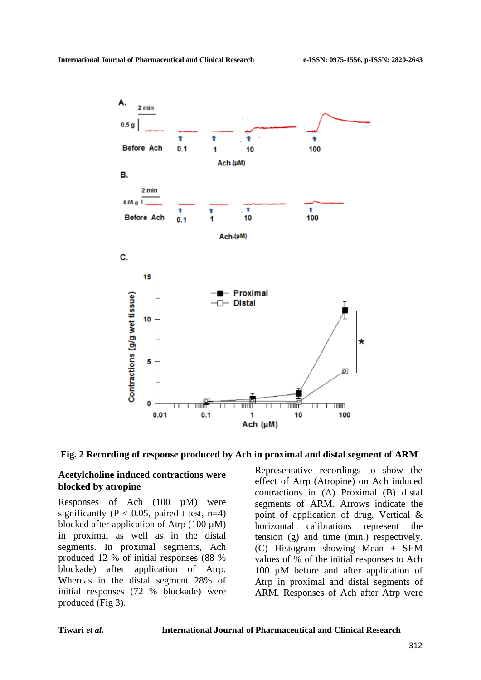

**Fig. 2 Recording of response produced by Ach in proximal and distal segment of ARM**

#### **Acetylcholine induced contractions were blocked by atropine**

Responses of Ach (100 µM) were significantly ( $P < 0.05$ , paired t test, n=4) blocked after application of Atrp  $(100 \mu M)$ in proximal as well as in the distal segments. In proximal segments, Ach produced 12 % of initial responses (88 % blockade) after application of Atrp. Whereas in the distal segment 28% of initial responses (72 % blockade) were produced (Fig 3).

Representative recordings to show the effect of Atrp (Atropine) on Ach induced contractions in (A) Proximal (B) distal segments of ARM. Arrows indicate the point of application of drug. Vertical & horizontal calibrations represent the tension (g) and time (min.) respectively. (C) Histogram showing Mean  $\pm$  SEM values of % of the initial responses to Ach 100 µM before and after application of Atrp in proximal and distal segments of ARM. Responses of Ach after Atrp were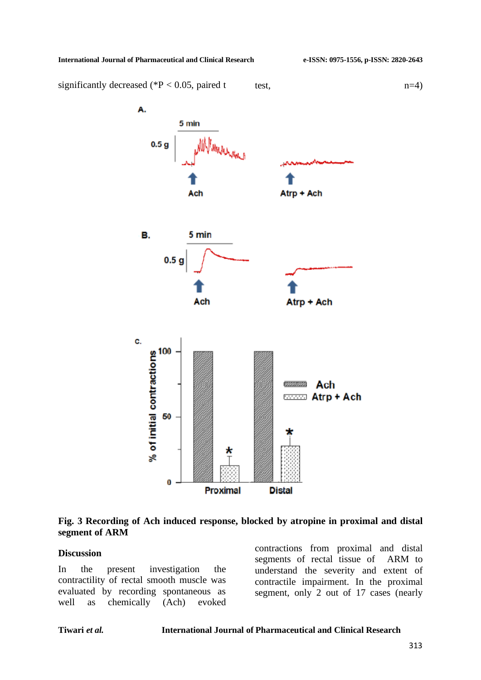#### **International Journal of Pharmaceutical and Clinical Research e-ISSN: 0975-1556, p-ISSN: 2820-2643**

significantly decreased (\*P < 0.05, paired t test,  $n=4$ )



### **Fig. 3 Recording of Ach induced response, blocked by atropine in proximal and distal segment of ARM**

#### **Discussion**

In the present investigation the contractility of rectal smooth muscle was evaluated by recording spontaneous as well as chemically (Ach) evoked

contractions from proximal and distal segments of rectal tissue of ARM to understand the severity and extent of contractile impairment. In the proximal segment, only 2 out of 17 cases (nearly

#### **Tiwari** *et al.* **International Journal of Pharmaceutical and Clinical Research**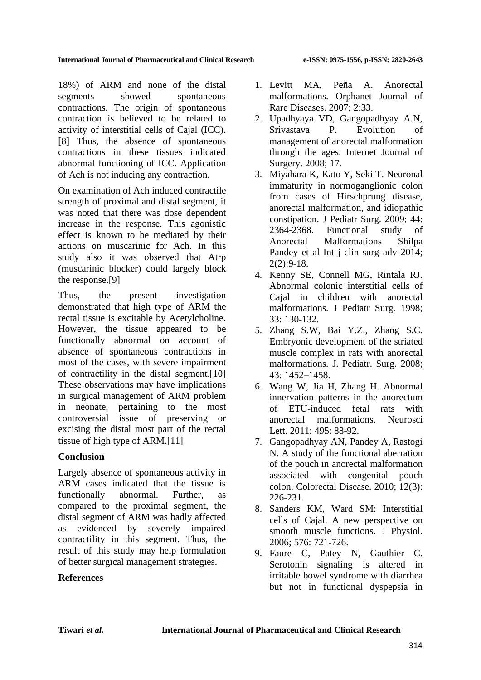18%) of ARM and none of the distal segments showed spontaneous contractions. The origin of spontaneous contraction is believed to be related to activity of interstitial cells of Cajal (ICC). [8] Thus, the absence of spontaneous contractions in these tissues indicated abnormal functioning of ICC. Application of Ach is not inducing any contraction.

On examination of Ach induced contractile strength of proximal and distal segment, it was noted that there was dose dependent increase in the response. This agonistic effect is known to be mediated by their actions on muscarinic for Ach. In this study also it was observed that Atrp (muscarinic blocker) could largely block the response.[9]

Thus, the present investigation demonstrated that high type of ARM the rectal tissue is excitable by Acetylcholine. However, the tissue appeared to be functionally abnormal on account of absence of spontaneous contractions in most of the cases, with severe impairment of contractility in the distal segment.[10] These observations may have implications in surgical management of ARM problem in neonate, pertaining to the most controversial issue of preserving or excising the distal most part of the rectal tissue of high type of ARM.[11]

# **Conclusion**

Largely absence of spontaneous activity in ARM cases indicated that the tissue is functionally abnormal. Further, as compared to the proximal segment, the distal segment of ARM was badly affected as evidenced by severely impaired contractility in this segment. Thus, the result of this study may help formulation of better surgical management strategies.

# **References**

- 1. Levitt MA, Peña A. Anorectal malformations. Orphanet Journal of Rare Diseases. 2007; 2:33.
- 2. Upadhyaya VD, Gangopadhyay A.N, Srivastava P. Evolution of management of anorectal malformation through the ages. Internet Journal of Surgery. 2008; 17.
- 3. Miyahara K, Kato Y, Seki T. Neuronal immaturity in normoganglionic colon from cases of Hirschprung disease, anorectal malformation, and idiopathic constipation. J Pediatr Surg. 2009; 44: 2364-2368. Functional study of Anorectal Malformations Shilpa Pandey et al Int j clin surg adv 2014; 2(2):9-18.
- 4. Kenny SE, Connell MG, Rintala RJ. Abnormal colonic interstitial cells of Cajal in children with anorectal malformations. J Pediatr Surg. 1998; 33: 130-132.
- 5. Zhang S.W, Bai Y.Z., Zhang S.C. Embryonic development of the striated muscle complex in rats with anorectal malformations. J. Pediatr. Surg. 2008; 43: 1452–1458.
- 6. Wang W, Jia H, Zhang H. Abnormal innervation patterns in the anorectum of ETU-induced fetal rats with anorectal malformations. Neurosci Lett. 2011; 495: 88-92.
- 7. Gangopadhyay AN, Pandey A, Rastogi N. A study of the functional aberration of the pouch in anorectal malformation associated with congenital pouch colon. Colorectal Disease. 2010; 12(3): 226-231.
- 8. Sanders KM, Ward SM: Interstitial cells of Cajal. A new perspective on smooth muscle functions. J Physiol. 2006; 576: 721-726.
- 9. Faure C, Patey N, Gauthier C. Serotonin signaling is altered in irritable bowel syndrome with diarrhea but not in functional dyspepsia in